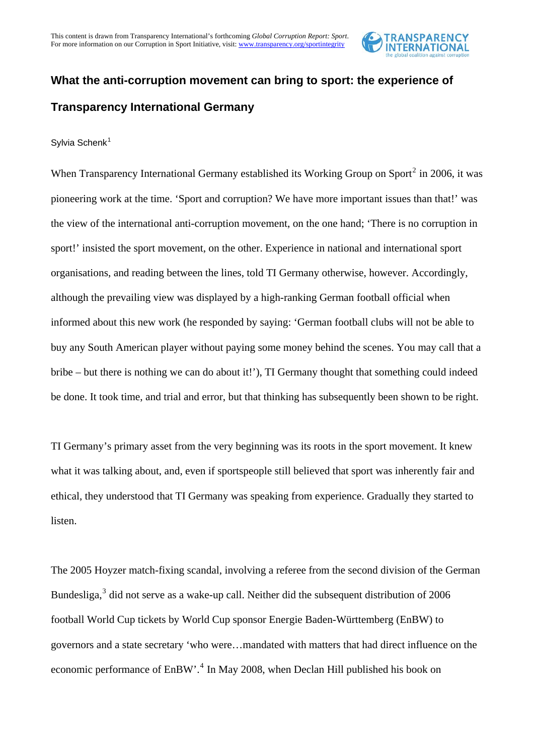

# **What the anti-corruption movement can bring to sport: the experience of Transparency International Germany**

## Sylvia Schenk<sup>[1](#page-4-0)</sup>

When Transparency International Germany established its Working Group on Sport<sup>[2](#page-4-1)</sup> in 2006, it was pioneering work at the time. 'Sport and corruption? We have more important issues than that!' was the view of the international anti-corruption movement, on the one hand; 'There is no corruption in sport!' insisted the sport movement, on the other. Experience in national and international sport organisations, and reading between the lines, told TI Germany otherwise, however. Accordingly, although the prevailing view was displayed by a high-ranking German football official when informed about this new work (he responded by saying: 'German football clubs will not be able to buy any South American player without paying some money behind the scenes. You may call that a bribe – but there is nothing we can do about it!'), TI Germany thought that something could indeed be done. It took time, and trial and error, but that thinking has subsequently been shown to be right.

TI Germany's primary asset from the very beginning was its roots in the sport movement. It knew what it was talking about, and, even if sportspeople still believed that sport was inherently fair and ethical, they understood that TI Germany was speaking from experience. Gradually they started to listen.

The 2005 Hoyzer match-fixing scandal, involving a referee from the second division of the German Bundesliga, $3$  did not serve as a wake-up call. Neither did the subsequent distribution of 2006 football World Cup tickets by World Cup sponsor Energie Baden-Württemberg (EnBW) to governors and a state secretary 'who were…mandated with matters that had direct influence on the economic performance of EnBW'.<sup>[4](#page-4-3)</sup> In May 2008, when Declan Hill published his book on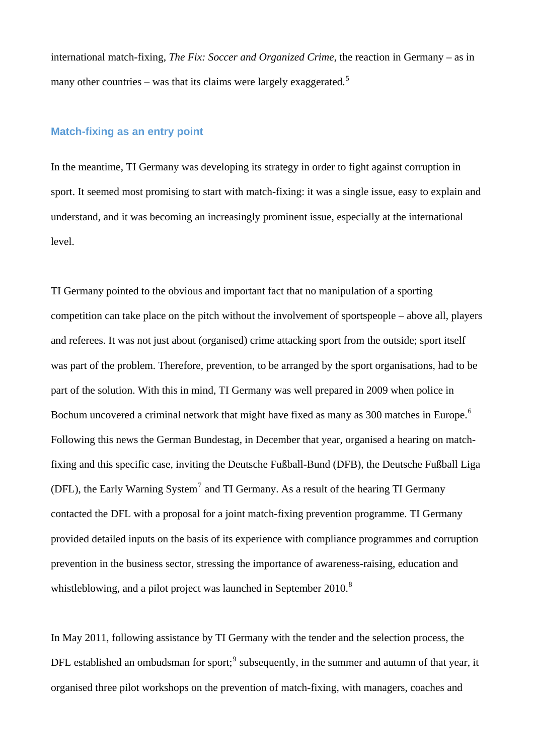international match-fixing, *The Fix: Soccer and Organized Crime*, the reaction in Germany – as in many other countries – was that its claims were largely exaggerated.<sup>[5](#page-4-4)</sup>

## **Match-fixing as an entry point**

In the meantime, TI Germany was developing its strategy in order to fight against corruption in sport. It seemed most promising to start with match-fixing: it was a single issue, easy to explain and understand, and it was becoming an increasingly prominent issue, especially at the international level.

TI Germany pointed to the obvious and important fact that no manipulation of a sporting competition can take place on the pitch without the involvement of sportspeople – above all, players and referees. It was not just about (organised) crime attacking sport from the outside; sport itself was part of the problem. Therefore, prevention, to be arranged by the sport organisations, had to be part of the solution. With this in mind, TI Germany was well prepared in 2009 when police in Bochum uncovered a criminal network that might have fixed as many as 300 matches in Europe.<sup>[6](#page-4-5)</sup> Following this news the German Bundestag, in December that year, organised a hearing on matchfixing and this specific case, inviting the Deutsche Fußball-Bund (DFB), the Deutsche Fußball Liga (DFL), the Early Warning System<sup>[7](#page-4-6)</sup> and TI Germany. As a result of the hearing TI Germany contacted the DFL with a proposal for a joint match-fixing prevention programme. TI Germany provided detailed inputs on the basis of its experience with compliance programmes and corruption prevention in the business sector, stressing the importance of awareness-raising, education and whistleblowing, and a pilot project was launched in September 2010.<sup>[8](#page-4-7)</sup>

In May 2011, following assistance by TI Germany with the tender and the selection process, the DFL established an ombudsman for sport;<sup>[9](#page-4-8)</sup> subsequently, in the summer and autumn of that year, it organised three pilot workshops on the prevention of match-fixing, with managers, coaches and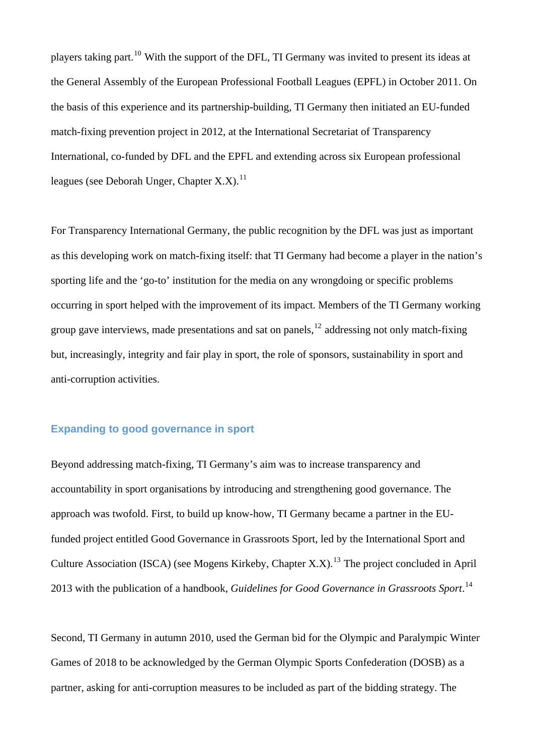players taking part.[10](#page-5-0) With the support of the DFL, TI Germany was invited to present its ideas at the General Assembly of the European Professional Football Leagues (EPFL) in October 2011. On the basis of this experience and its partnership-building, TI Germany then initiated an EU-funded match-fixing prevention project in 2012, at the International Secretariat of Transparency International, co-funded by DFL and the EPFL and extending across six European professional leagues (see Deborah Unger, Chapter X.X).<sup>[11](#page-5-1)</sup>

For Transparency International Germany, the public recognition by the DFL was just as important as this developing work on match-fixing itself: that TI Germany had become a player in the nation's sporting life and the 'go-to' institution for the media on any wrongdoing or specific problems occurring in sport helped with the improvement of its impact. Members of the TI Germany working group gave interviews, made presentations and sat on panels,  $^{12}$  $^{12}$  $^{12}$  addressing not only match-fixing but, increasingly, integrity and fair play in sport, the role of sponsors, sustainability in sport and anti-corruption activities.

## **Expanding to good governance in sport**

Beyond addressing match-fixing, TI Germany's aim was to increase transparency and accountability in sport organisations by introducing and strengthening good governance. The approach was twofold. First, to build up know-how, TI Germany became a partner in the EUfunded project entitled Good Governance in Grassroots Sport, led by the International Sport and Culture Association (ISCA) (see Mogens Kirkeby, Chapter X.X).<sup>[13](#page-5-3)</sup> The project concluded in April 2013 with the publication of a handbook, *Guidelines for Good Governance in Grassroots Sport*. [14](#page-5-4)

Second, TI Germany in autumn 2010, used the German bid for the Olympic and Paralympic Winter Games of 2018 to be acknowledged by the German Olympic Sports Confederation (DOSB) as a partner, asking for anti-corruption measures to be included as part of the bidding strategy. The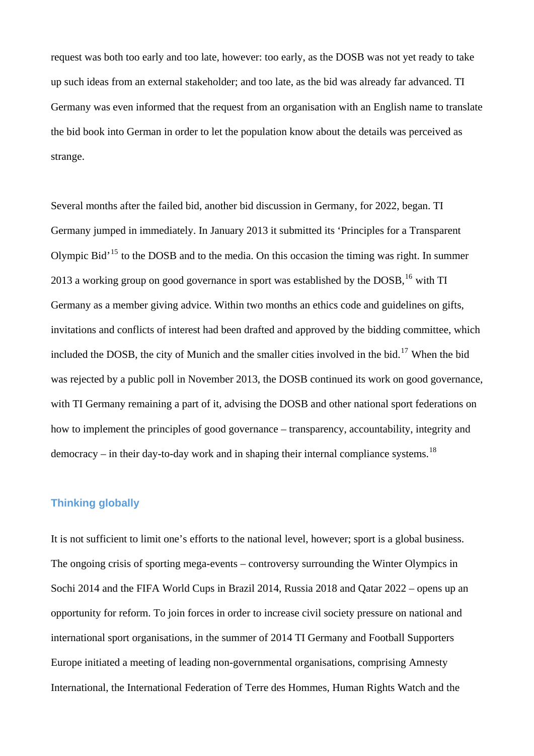request was both too early and too late, however: too early, as the DOSB was not yet ready to take up such ideas from an external stakeholder; and too late, as the bid was already far advanced. TI Germany was even informed that the request from an organisation with an English name to translate the bid book into German in order to let the population know about the details was perceived as strange.

Several months after the failed bid, another bid discussion in Germany, for 2022, began. TI Germany jumped in immediately. In January 2013 it submitted its 'Principles for a Transparent Olympic Bid'[15](#page-5-5) to the DOSB and to the media. On this occasion the timing was right. In summer 2013 a working group on good governance in sport was established by the DOSB,  $^{16}$  $^{16}$  $^{16}$  with TI Germany as a member giving advice. Within two months an ethics code and guidelines on gifts, invitations and conflicts of interest had been drafted and approved by the bidding committee, which included the DOSB, the city of Munich and the smaller cities involved in the bid.<sup>[17](#page-5-7)</sup> When the bid. was rejected by a public poll in November 2013, the DOSB continued its work on good governance, with TI Germany remaining a part of it, advising the DOSB and other national sport federations on how to implement the principles of good governance – transparency, accountability, integrity and  $demoracy - in their day-to-day work and in shaping their internal compliance systems.<sup>18</sup>$  $demoracy - in their day-to-day work and in shaping their internal compliance systems.<sup>18</sup>$  $demoracy - in their day-to-day work and in shaping their internal compliance systems.<sup>18</sup>$ 

## **Thinking globally**

It is not sufficient to limit one's efforts to the national level, however; sport is a global business. The ongoing crisis of sporting mega-events – controversy surrounding the Winter Olympics in Sochi 2014 and the FIFA World Cups in Brazil 2014, Russia 2018 and Qatar 2022 – opens up an opportunity for reform. To join forces in order to increase civil society pressure on national and international sport organisations, in the summer of 2014 TI Germany and Football Supporters Europe initiated a meeting of leading non-governmental organisations, comprising Amnesty International, the International Federation of Terre des Hommes, Human Rights Watch and the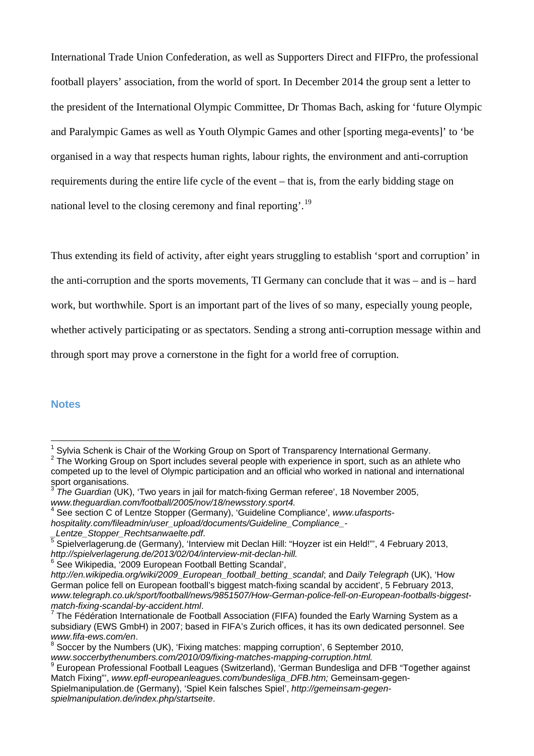International Trade Union Confederation, as well as Supporters Direct and FIFPro, the professional football players' association, from the world of sport. In December 2014 the group sent a letter to the president of the International Olympic Committee, Dr Thomas Bach, asking for 'future Olympic and Paralympic Games as well as Youth Olympic Games and other [sporting mega-events]' to 'be organised in a way that respects human rights, labour rights, the environment and anti-corruption requirements during the entire life cycle of the event – that is, from the early bidding stage on national level to the closing ceremony and final reporting'.<sup>[19](#page-5-9)</sup>

Thus extending its field of activity, after eight years struggling to establish 'sport and corruption' in

the anti-corruption and the sports movements, TI Germany can conclude that it was – and is – hard

work, but worthwhile. Sport is an important part of the lives of so many, especially young people,

whether actively participating or as spectators. Sending a strong anti-corruption message within and

through sport may prove a cornerstone in the fight for a world free of corruption.

#### **Notes**

 $\overline{a}$ 

<sup>&</sup>lt;sup>1</sup> Sylvia Schenk is Chair of the Working Group on Sport of Transparency International Germany.<br><sup>2</sup> The Working Croup on Sport includes courage poople with experience in opert, quab as an other

<span id="page-4-1"></span><span id="page-4-0"></span> $2$  The Working Group on Sport includes several people with experience in sport, such as an athlete who competed up to the level of Olympic participation and an official who worked in national and international sport organisations.

<span id="page-4-2"></span><sup>3</sup> *The Guardian* (UK), 'Two years in jail for match-fixing German referee', 18 November 2005, www.theguardian.com/football/2005/nov/18/newsstory.sport4.

<span id="page-4-3"></span>See section C of Lentze Stopper (Germany), 'Guideline Compliance', *www.ufasports-*

*hospitality.com/fileadmin/user\_upload/documents/Guideline\_Compliance\_-*

<span id="page-4-4"></span>\_*Lentze\_Stopper\_Rechtsanwaelte.pdf.*<br><sup>5</sup> Spielverlagerung.de (Germany), 'Interview mit Declan Hill: "Hoyzer ist ein Held!'", 4 February 2013, *[http://spielverlagerung.de/2013/02/04/interview-mit-declan-hill](http://spielverlagerung.de/2013/02/04/interview-mit-declan-hill/).* <sup>6</sup>

<span id="page-4-5"></span><sup>&</sup>lt;sup>6</sup> See Wikipedia, '2009 European Football Betting Scandal',

*[http://en.wikipedia.org/wiki/2009\\_European\\_football\\_betting\\_scandal](http://en.wikipedia.org/wiki/2009_European_football_betting_scandal)*; and *Daily Telegraph* (UK), 'How German police fell on European football's biggest match-fixing scandal by accident', 5 February 2013, *www.telegraph.co.uk/sport/football/news/9851507/How-German-police-fell-on-European-footballs-biggestmatch-fixing-scandal-by-accident.html*. 7

<span id="page-4-6"></span>The Fédération Internationale de Football Association (FIFA) founded the Early Warning System as a subsidiary (EWS GmbH) in 2007; based in FIFA's Zurich offices, it has its own dedicated personnel. See *www.fifa-ews.com/en*. 8

<span id="page-4-7"></span><sup>&</sup>lt;sup>8</sup> Soccer by the Numbers (UK), 'Fixing matches: mapping corruption', 6 September 2010, *www.soccerbythenumbers.com/2010/09/fixing-matches-mapping-corruption.html.* <sup>9</sup>

<span id="page-4-8"></span><sup>&</sup>lt;sup>9</sup> European Professional Football Leagues (Switzerland), 'German Bundesliga and DFB "Together against Match Fixing"', *www.epfl-europeanleagues.com/bundesliga\_DFB.htm;* Gemeinsam-gegen-Spielmanipulation.de (Germany), 'Spiel Kein falsches Spiel', *[http://gemeinsam-gegen](http://gemeinsam-gegen-spielmanipulation.de/index.php/startseite)[spielmanipulation.de/index.php/startseite](http://gemeinsam-gegen-spielmanipulation.de/index.php/startseite)*.